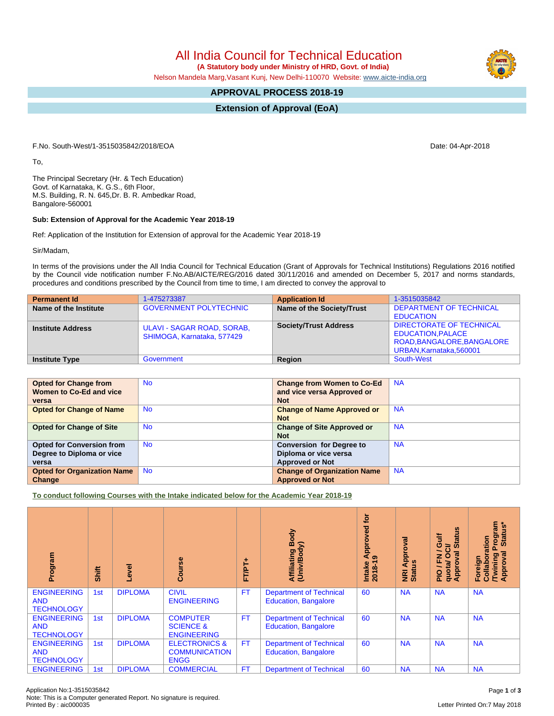All India Council for Technical Education

 **(A Statutory body under Ministry of HRD, Govt. of India)**

Nelson Mandela Marg,Vasant Kunj, New Delhi-110070 Website: [www.aicte-india.org](http://www.aicte-india.org)

## **APPROVAL PROCESS 2018-19**

**Extension of Approval (EoA)**

F.No. South-West/1-3515035842/2018/EOA Date: 04-Apr-2018

To,

The Principal Secretary (Hr. & Tech Education) Govt. of Karnataka, K. G.S., 6th Floor, M.S. Building, R. N. 645,Dr. B. R. Ambedkar Road, Bangalore-560001

## **Sub: Extension of Approval for the Academic Year 2018-19**

Ref: Application of the Institution for Extension of approval for the Academic Year 2018-19

Sir/Madam,

In terms of the provisions under the All India Council for Technical Education (Grant of Approvals for Technical Institutions) Regulations 2016 notified by the Council vide notification number F.No.AB/AICTE/REG/2016 dated 30/11/2016 and amended on December 5, 2017 and norms standards, procedures and conditions prescribed by the Council from time to time, I am directed to convey the approval to

| <b>Permanent Id</b>      | 1-475273387                                              | <b>Application Id</b>        | 1-3515035842                                                         |
|--------------------------|----------------------------------------------------------|------------------------------|----------------------------------------------------------------------|
| Name of the Institute    | <b>GOVERNMENT POLYTECHNIC</b>                            | Name of the Society/Trust    | <b>DEPARTMENT OF TECHNICAL</b><br><b>EDUCATION</b>                   |
| <b>Institute Address</b> | ULAVI - SAGAR ROAD, SORAB,<br>SHIMOGA, Karnataka, 577429 | <b>Society/Trust Address</b> | <b>DIRECTORATE OF TECHNICAL</b><br><b>EDUCATION.PALACE</b>           |
| <b>Institute Type</b>    | Government                                               | Region                       | ROAD, BANGALORE, BANGALORE<br>URBAN, Karnataka, 560001<br>South-West |

| <b>Opted for Change from</b>       | <b>No</b> | <b>Change from Women to Co-Ed</b>  | <b>NA</b> |
|------------------------------------|-----------|------------------------------------|-----------|
| Women to Co-Ed and vice            |           | and vice versa Approved or         |           |
| versa                              |           | <b>Not</b>                         |           |
| <b>Opted for Change of Name</b>    | <b>No</b> | <b>Change of Name Approved or</b>  | <b>NA</b> |
|                                    |           | <b>Not</b>                         |           |
| <b>Opted for Change of Site</b>    | <b>No</b> | <b>Change of Site Approved or</b>  | <b>NA</b> |
|                                    |           | <b>Not</b>                         |           |
| <b>Opted for Conversion from</b>   | <b>No</b> | <b>Conversion for Degree to</b>    | <b>NA</b> |
| Degree to Diploma or vice          |           | Diploma or vice versa              |           |
| versa                              |           | <b>Approved or Not</b>             |           |
| <b>Opted for Organization Name</b> | <b>No</b> | <b>Change of Organization Name</b> | <b>NA</b> |
| Change                             |           | <b>Approved or Not</b>             |           |

**To conduct following Courses with the Intake indicated below for the Academic Year 2018-19**

| Program                                               | Shift | Level          | rse<br>5<br>ပြီ                                                 | FTPT+     | Body<br>Affiliating Book                                      | <b>jo</b><br>Approved<br>ၜ<br>$2018 - 1$<br>Intake | Approval<br><b>NRI Ap<br/>Status</b> | 9<br>š<br>ਨੋ<br>ŏ,<br>ဖ<br>ಕ<br>∽<br>0<br>œ<br>준<br>quotal<br><b>Appro</b><br>음 | rogram<br>Status*<br>Prog<br>boration<br>ख़<br>Foreign<br>/Twinir<br>Approv<br>Collal |
|-------------------------------------------------------|-------|----------------|-----------------------------------------------------------------|-----------|---------------------------------------------------------------|----------------------------------------------------|--------------------------------------|---------------------------------------------------------------------------------|---------------------------------------------------------------------------------------|
| <b>ENGINEERING</b><br><b>AND</b><br><b>TECHNOLOGY</b> | 1st   | <b>DIPLOMA</b> | <b>CIVIL</b><br><b>ENGINEERING</b>                              | FT.       | <b>Department of Technical</b><br><b>Education, Bangalore</b> | 60                                                 | <b>NA</b>                            | <b>NA</b>                                                                       | <b>NA</b>                                                                             |
| <b>ENGINEERING</b><br><b>AND</b><br><b>TECHNOLOGY</b> | 1st   | <b>DIPLOMA</b> | <b>COMPUTER</b><br><b>SCIENCE &amp;</b><br><b>ENGINEERING</b>   | <b>FT</b> | <b>Department of Technical</b><br><b>Education, Bangalore</b> | 60                                                 | <b>NA</b>                            | <b>NA</b>                                                                       | <b>NA</b>                                                                             |
| <b>ENGINEERING</b><br><b>AND</b><br><b>TECHNOLOGY</b> | 1st   | <b>DIPLOMA</b> | <b>ELECTRONICS &amp;</b><br><b>COMMUNICATION</b><br><b>ENGG</b> | <b>FT</b> | <b>Department of Technical</b><br><b>Education, Bangalore</b> | 60                                                 | <b>NA</b>                            | <b>NA</b>                                                                       | <b>NA</b>                                                                             |
| <b>ENGINEERING</b>                                    | 1st   | <b>DIPLOMA</b> | <b>COMMERCIAL</b>                                               | <b>FT</b> | <b>Department of Technical</b>                                | 60                                                 | <b>NA</b>                            | <b>NA</b>                                                                       | <b>NA</b>                                                                             |

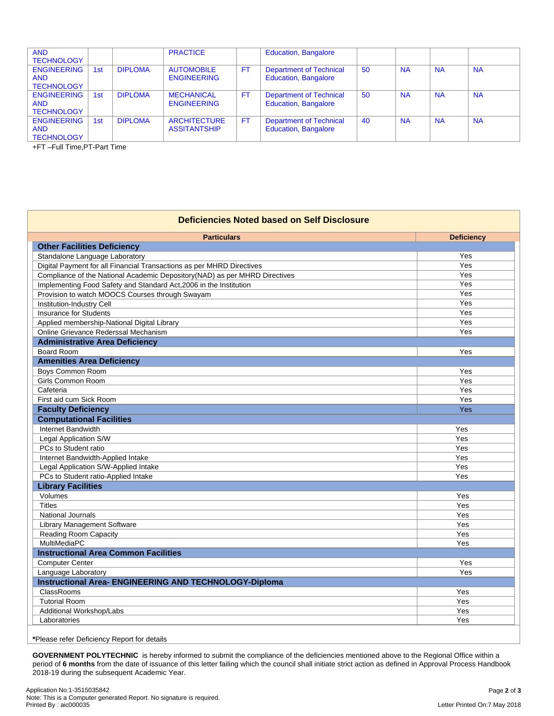| <b>AND</b><br><b>TECHNOLOGY</b>                       |     |                | <b>PRACTICE</b>                            |           | <b>Education, Bangalore</b>                                   |    |           |           |           |
|-------------------------------------------------------|-----|----------------|--------------------------------------------|-----------|---------------------------------------------------------------|----|-----------|-----------|-----------|
| <b>ENGINEERING</b><br><b>AND</b><br><b>TECHNOLOGY</b> | 1st | <b>DIPLOMA</b> | <b>AUTOMOBILE</b><br><b>ENGINEERING</b>    | <b>FT</b> | <b>Department of Technical</b><br><b>Education, Bangalore</b> | 50 | <b>NA</b> | <b>NA</b> | <b>NA</b> |
| <b>ENGINEERING</b><br><b>AND</b><br><b>TECHNOLOGY</b> | 1st | <b>DIPLOMA</b> | <b>MECHANICAL</b><br><b>ENGINEERING</b>    | <b>FT</b> | <b>Department of Technical</b><br><b>Education, Bangalore</b> | 50 | <b>NA</b> | <b>NA</b> | <b>NA</b> |
| <b>ENGINEERING</b><br><b>AND</b><br><b>TECHNOLOGY</b> | 1st | <b>DIPLOMA</b> | <b>ARCHITECTURE</b><br><b>ASSITANTSHIP</b> | FT.       | <b>Department of Technical</b><br><b>Education, Bangalore</b> | 40 | <b>NA</b> | <b>NA</b> | <b>NA</b> |

+FT –Full Time,PT-Part Time

| <b>Deficiencies Noted based on Self Disclosure</b>                         |                   |  |  |  |
|----------------------------------------------------------------------------|-------------------|--|--|--|
| <b>Particulars</b>                                                         | <b>Deficiency</b> |  |  |  |
| <b>Other Facilities Deficiency</b>                                         |                   |  |  |  |
| Standalone Language Laboratory                                             | Yes               |  |  |  |
| Digital Payment for all Financial Transactions as per MHRD Directives      | Yes               |  |  |  |
| Compliance of the National Academic Depository(NAD) as per MHRD Directives | Yes               |  |  |  |
| Implementing Food Safety and Standard Act, 2006 in the Institution         | Yes               |  |  |  |
| Provision to watch MOOCS Courses through Swayam                            | Yes               |  |  |  |
| Institution-Industry Cell                                                  | Yes               |  |  |  |
| <b>Insurance for Students</b>                                              | Yes               |  |  |  |
| Applied membership-National Digital Library                                | Yes               |  |  |  |
| Online Grievance Rederssal Mechanism                                       | Yes               |  |  |  |
| <b>Administrative Area Deficiency</b>                                      |                   |  |  |  |
| <b>Board Room</b>                                                          | Yes               |  |  |  |
| <b>Amenities Area Deficiency</b>                                           |                   |  |  |  |
| Boys Common Room                                                           | Yes               |  |  |  |
| <b>Girls Common Room</b>                                                   | Yes               |  |  |  |
| Cafeteria                                                                  | Yes               |  |  |  |
| First aid cum Sick Room                                                    | Yes               |  |  |  |
| <b>Faculty Deficiency</b>                                                  | Yes               |  |  |  |
| <b>Computational Facilities</b>                                            |                   |  |  |  |
| Internet Bandwidth                                                         | Yes               |  |  |  |
| Legal Application S/W                                                      | Yes               |  |  |  |
| PCs to Student ratio                                                       | Yes               |  |  |  |
| Internet Bandwidth-Applied Intake                                          | Yes               |  |  |  |
| Legal Application S/W-Applied Intake                                       | Yes               |  |  |  |
| PCs to Student ratio-Applied Intake                                        | Yes               |  |  |  |
| <b>Library Facilities</b>                                                  |                   |  |  |  |
| Volumes                                                                    | Yes               |  |  |  |
| <b>Titles</b>                                                              | Yes               |  |  |  |
| <b>National Journals</b>                                                   | Yes               |  |  |  |
| Library Management Software                                                | Yes               |  |  |  |
| <b>Reading Room Capacity</b>                                               | Yes               |  |  |  |
| MultiMediaPC                                                               | Yes               |  |  |  |
| <b>Instructional Area Common Facilities</b>                                |                   |  |  |  |
| <b>Computer Center</b>                                                     | Yes               |  |  |  |
| Language Laboratory                                                        | Yes               |  |  |  |
| <b>Instructional Area- ENGINEERING AND TECHNOLOGY-Diploma</b>              |                   |  |  |  |
| ClassRooms                                                                 | Yes               |  |  |  |
| <b>Tutorial Room</b>                                                       | Yes               |  |  |  |
| Additional Workshop/Labs                                                   | Yes               |  |  |  |
| Laboratories                                                               | Yes               |  |  |  |

**GOVERNMENT POLYTECHNIC** is hereby informed to submit the compliance of the deficiencies mentioned above to the Regional Office within a period of 6 months from the date of issuance of this letter failing which the council shall initiate strict action as defined in Approval Process Handbook 2018-19 during the subsequent Academic Year.